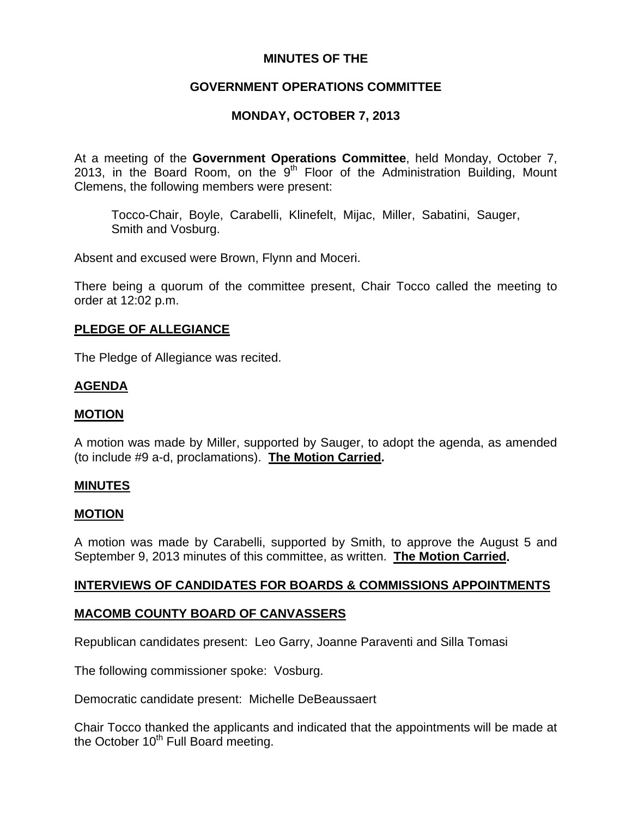## **MINUTES OF THE**

# **GOVERNMENT OPERATIONS COMMITTEE**

# **MONDAY, OCTOBER 7, 2013**

At a meeting of the **Government Operations Committee**, held Monday, October 7, 2013, in the Board Room, on the  $9<sup>th</sup>$  Floor of the Administration Building, Mount Clemens, the following members were present:

Tocco-Chair, Boyle, Carabelli, Klinefelt, Mijac, Miller, Sabatini, Sauger, Smith and Vosburg.

Absent and excused were Brown, Flynn and Moceri.

There being a quorum of the committee present, Chair Tocco called the meeting to order at 12:02 p.m.

### **PLEDGE OF ALLEGIANCE**

The Pledge of Allegiance was recited.

## **AGENDA**

### **MOTION**

A motion was made by Miller, supported by Sauger, to adopt the agenda, as amended (to include #9 a-d, proclamations). **The Motion Carried.** 

### **MINUTES**

### **MOTION**

A motion was made by Carabelli, supported by Smith, to approve the August 5 and September 9, 2013 minutes of this committee, as written. **The Motion Carried.** 

## **INTERVIEWS OF CANDIDATES FOR BOARDS & COMMISSIONS APPOINTMENTS**

### **MACOMB COUNTY BOARD OF CANVASSERS**

Republican candidates present: Leo Garry, Joanne Paraventi and Silla Tomasi

The following commissioner spoke: Vosburg.

Democratic candidate present: Michelle DeBeaussaert

Chair Tocco thanked the applicants and indicated that the appointments will be made at the October  $10<sup>th</sup>$  Full Board meeting.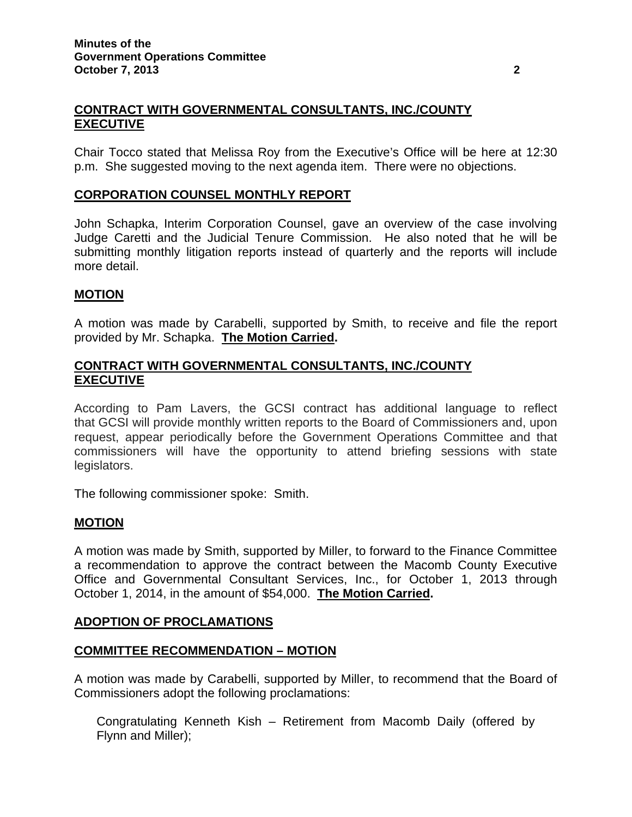# **CONTRACT WITH GOVERNMENTAL CONSULTANTS, INC./COUNTY EXECUTIVE**

Chair Tocco stated that Melissa Roy from the Executive's Office will be here at 12:30 p.m. She suggested moving to the next agenda item. There were no objections.

# **CORPORATION COUNSEL MONTHLY REPORT**

John Schapka, Interim Corporation Counsel, gave an overview of the case involving Judge Caretti and the Judicial Tenure Commission. He also noted that he will be submitting monthly litigation reports instead of quarterly and the reports will include more detail.

## **MOTION**

A motion was made by Carabelli, supported by Smith, to receive and file the report provided by Mr. Schapka. **The Motion Carried.** 

### **CONTRACT WITH GOVERNMENTAL CONSULTANTS, INC./COUNTY EXECUTIVE**

According to Pam Lavers, the GCSI contract has additional language to reflect that GCSI will provide monthly written reports to the Board of Commissioners and, upon request, appear periodically before the Government Operations Committee and that commissioners will have the opportunity to attend briefing sessions with state legislators.

The following commissioner spoke: Smith.

### **MOTION**

A motion was made by Smith, supported by Miller, to forward to the Finance Committee a recommendation to approve the contract between the Macomb County Executive Office and Governmental Consultant Services, Inc., for October 1, 2013 through October 1, 2014, in the amount of \$54,000. **The Motion Carried.** 

### **ADOPTION OF PROCLAMATIONS**

### **COMMITTEE RECOMMENDATION – MOTION**

A motion was made by Carabelli, supported by Miller, to recommend that the Board of Commissioners adopt the following proclamations:

Congratulating Kenneth Kish – Retirement from Macomb Daily (offered by Flynn and Miller);